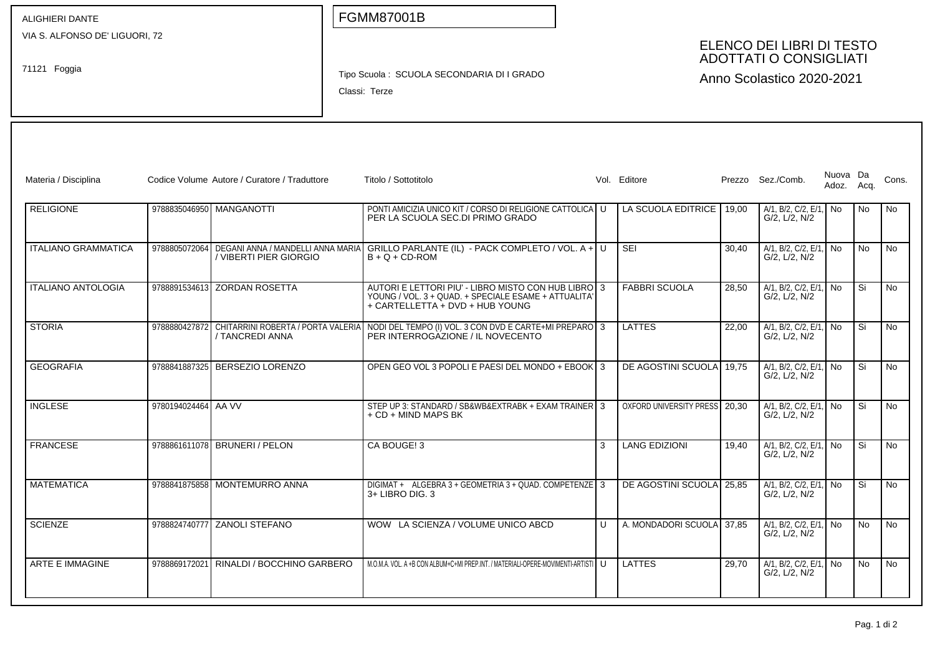| ALIGHIERI DANTE                                |                     |                                                             |  | <b>FGMM87001B</b>                                                                                                                              |                                                                                         |   |                               |       |                                            |                        |    |                |
|------------------------------------------------|---------------------|-------------------------------------------------------------|--|------------------------------------------------------------------------------------------------------------------------------------------------|-----------------------------------------------------------------------------------------|---|-------------------------------|-------|--------------------------------------------|------------------------|----|----------------|
| VIA S. ALFONSO DE' LIGUORI, 72<br>71121 Foggia |                     |                                                             |  | Tipo Scuola: SCUOLA SECONDARIA DI I GRADO<br>Classi: Terze                                                                                     | ELENCO DEI LIBRI DI TESTO<br><b>ADOTTATI O CONSIGLIATI</b><br>Anno Scolastico 2020-2021 |   |                               |       |                                            |                        |    |                |
| Materia / Disciplina                           |                     | Codice Volume Autore / Curatore / Traduttore                |  | Titolo / Sottotitolo                                                                                                                           |                                                                                         |   | Vol. Editore                  |       | Prezzo Sez./Comb.                          | Nuova Da<br>Adoz. Acq. |    | Cons.          |
| <b>RELIGIONE</b>                               |                     | 9788835046950 MANGANOTTI                                    |  | PONTI AMICIZIA UNICO KIT / CORSO DI RELIGIONE CATTOLICA LU<br>PER LA SCUOLA SEC.DI PRIMO GRADO                                                 |                                                                                         |   | LA SCUOLA EDITRICE            | 19,00 | A/1, B/2, C/2, E/1, No<br>G/2, L/2, N/2    |                        | No | No.            |
| <b>ITALIANO GRAMMATICA</b>                     | 9788805072064       | DEGANI ANNA / MANDELLI ANNA MARIA<br>/ VIBERTI PIER GIORGIO |  | GRILLO PARLANTE (IL) - PACK COMPLETO / VOL. A + U<br>$B + Q + CD$ -ROM                                                                         |                                                                                         |   | SEI                           | 30,40 | A/1, B/2, C/2, E/1, No<br>G/2, L/2, N/2    |                        | No | No             |
| <b>ITALIANO ANTOLOGIA</b>                      |                     | 9788891534613 ZORDAN ROSETTA                                |  | AUTORI E LETTORI PIU' - LIBRO MISTO CON HUB LIBRO 3<br>YOUNG / VOL. 3 + QUAD. + SPECIALE ESAME + ATTUALITA'<br>+ CARTELLETTA + DVD + HUB YOUNG |                                                                                         |   | <b>FABBRI SCUOLA</b>          | 28,50 | A/1, B/2, C/2, E/1, No<br>G/2, L/2, N/2    |                        | Si | <b>No</b>      |
| <b>STORIA</b>                                  | 9788880427872       | / TANCREDI ANNA                                             |  | CHITARRINI ROBERTA / PORTA VALERIA NODI DEL TEMPO (I) VOL. 3 CON DVD E CARTE+MI PREPARO 3<br>PER INTERROGAZIONE / IL NOVECENTO                 |                                                                                         |   | <b>LATTES</b>                 | 22,00 | A/1, B/2, C/2, E/1, No<br>G/2, L/2, N/2    |                        | Si | No             |
| <b>GEOGRAFIA</b>                               | 9788841887325       | <b>BERSEZIO LORENZO</b>                                     |  | OPEN GEO VOL 3 POPOLI E PAESI DEL MONDO + EBOOK 3                                                                                              |                                                                                         |   | DE AGOSTINI SCUOLA 19,75      |       | A/1, B/2, C/2, E/1, No<br>G/2, L/2, N/2    |                        | Si | No             |
| <b>INGLESE</b>                                 | 9780194024464 AA VV |                                                             |  | STEP UP 3: STANDARD / SB&WB&EXTRABK + EXAM TRAINER 3<br>+ CD + MIND MAPS BK                                                                    |                                                                                         |   | OXFORD UNIVERSITY PRESS 20,30 |       | $A/1$ , B/2, C/2, E/1, No<br>G/2, L/2, N/2 |                        | Si | No             |
| <b>FRANCESE</b>                                |                     | 9788861611078 BRUNERI / PELON                               |  | CA BOUGE! 3                                                                                                                                    |                                                                                         | 3 | <b>LANG EDIZIONI</b>          | 19,40 | A/1, B/2, C/2, E/1, No<br>G/2, L/2, N/2    |                        | Si | No             |
| <b>MATEMATICA</b>                              |                     | 9788841875858 MONTEMURRO ANNA                               |  | DIGIMAT + ALGEBRA 3 + GEOMETRIA 3 + QUAD, COMPETENZE 3<br>3+ LIBRO DIG. 3                                                                      |                                                                                         |   | DE AGOSTINI SCUOLA 25,85      |       | A/1, B/2, C/2, E/1,<br>G/2, L/2, N/2       | l No                   | Si | N <sub>o</sub> |
| <b>SCIENZE</b>                                 | 9788824740777       | <b>ZANOLI STEFANO</b>                                       |  | WOW LA SCIENZA / VOLUME UNICO ABCD                                                                                                             |                                                                                         | U | A. MONDADORI SCUOLA 37.85     |       | A/1, B/2, C/2, E/1,<br>G/2, L/2, N/2       | l No                   | No | <b>No</b>      |
| ARTE E IMMAGINE                                | 9788869172021       | RINALDI / BOCCHINO GARBERO                                  |  | M.O.M.A. VOL. A +B CON ALBUM+C+MI PREP.INT. / MATERIALI-OPERE-MOVIMENTI-ARTISTI   U                                                            |                                                                                         |   | LATTES                        | 29,70 | A/1, B/2, C/2, E/1, No<br>G/2, L/2, N/2    |                        | No | <b>No</b>      |